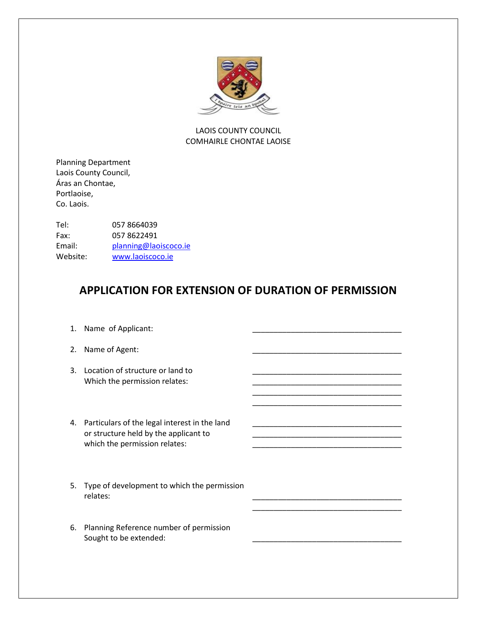

#### LAOIS COUNTY COUNCIL COMHAIRLE CHONTAE LAOISE

Planning Department Laois County Council, Áras an Chontae, Portlaoise, Co. Laois.

Tel: 057 8664039 Fax: 057 8622491 Email: [planning@laoiscoco.ie](mailto:planning@laoiscoco.ie) Website: [www.laoiscoco.ie](http://www.laoiscoco.ie/)

### **APPLICATION FOR EXTENSION OF DURATION OF PERMISSION**

\_\_\_\_\_\_\_\_\_\_\_\_\_\_\_\_\_\_\_\_\_\_\_\_\_\_\_\_\_\_\_\_\_\_\_

\_\_\_\_\_\_\_\_\_\_\_\_\_\_\_\_\_\_\_\_\_\_\_\_\_\_\_\_\_\_\_\_\_\_\_

- 1. Name of Applicant:
- 2. Name of Agent:
- 3. Location of structure or land to Which the permission relates:
- 4. Particulars of the legal interest in the land or structure held by the applicant to **we are allowed to**  $\alpha$ which the permission relates:
- 5. Type of development to which the permission relates: \_\_\_\_\_\_\_\_\_\_\_\_\_\_\_\_\_\_\_\_\_\_\_\_\_\_\_\_\_\_\_\_\_\_\_
- 6. Planning Reference number of permission Sought to be extended: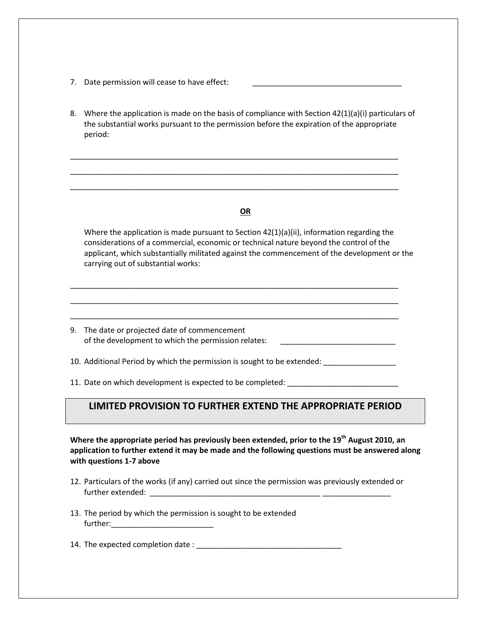- 7. Date permission will cease to have effect:
- 8. Where the application is made on the basis of compliance with Section 42(1)(a)(i) particulars of the substantial works pursuant to the permission before the expiration of the appropriate period:

\_\_\_\_\_\_\_\_\_\_\_\_\_\_\_\_\_\_\_\_\_\_\_\_\_\_\_\_\_\_\_\_\_\_\_\_\_\_\_\_\_\_\_\_\_\_\_\_\_\_\_\_\_\_\_\_\_\_\_\_\_\_\_\_\_\_\_\_\_\_\_\_\_\_\_\_\_ \_\_\_\_\_\_\_\_\_\_\_\_\_\_\_\_\_\_\_\_\_\_\_\_\_\_\_\_\_\_\_\_\_\_\_\_\_\_\_\_\_\_\_\_\_\_\_\_\_\_\_\_\_\_\_\_\_\_\_\_\_\_\_\_\_\_\_\_\_\_\_\_\_\_\_\_\_ \_\_\_\_\_\_\_\_\_\_\_\_\_\_\_\_\_\_\_\_\_\_\_\_\_\_\_\_\_\_\_\_\_\_\_\_\_\_\_\_\_\_\_\_\_\_\_\_\_\_\_\_\_\_\_\_\_\_\_\_\_\_\_\_\_\_\_\_\_\_\_\_\_\_\_\_\_

#### **OR**

Where the application is made pursuant to Section 42(1)(a)(ii), information regarding the considerations of a commercial, economic or technical nature beyond the control of the applicant, which substantially militated against the commencement of the development or the carrying out of substantial works:

9. The date or projected date of commencement of the development to which the permission relates:

\_\_\_\_\_\_\_\_\_\_\_\_\_\_\_\_\_\_\_\_\_\_\_\_\_\_\_\_\_\_\_\_\_\_\_\_\_\_\_\_\_\_\_\_\_\_\_\_\_\_\_\_\_\_\_\_\_\_\_\_\_\_\_\_\_\_\_\_\_\_\_\_\_\_\_\_\_ \_\_\_\_\_\_\_\_\_\_\_\_\_\_\_\_\_\_\_\_\_\_\_\_\_\_\_\_\_\_\_\_\_\_\_\_\_\_\_\_\_\_\_\_\_\_\_\_\_\_\_\_\_\_\_\_\_\_\_\_\_\_\_\_\_\_\_\_\_\_\_\_\_\_\_\_\_ \_\_\_\_\_\_\_\_\_\_\_\_\_\_\_\_\_\_\_\_\_\_\_\_\_\_\_\_\_\_\_\_\_\_\_\_\_\_\_\_\_\_\_\_\_\_\_\_\_\_\_\_\_\_\_\_\_\_\_\_\_\_\_\_\_\_\_\_\_\_\_\_\_\_\_\_\_

10. Additional Period by which the permission is sought to be extended:

11. Date on which development is expected to be completed:

### **LIMITED PROVISION TO FURTHER EXTEND THE APPROPRIATE PERIOD**

**Where the appropriate period has previously been extended, prior to the 19th August 2010, an application to further extend it may be made and the following questions must be answered along with questions 1-7 above**

- 12. Particulars of the works (if any) carried out since the permission was previously extended or further extended: \_\_\_\_\_\_\_\_\_\_\_\_\_\_\_\_\_\_\_\_\_\_\_\_\_\_\_\_\_\_\_\_\_\_\_\_\_\_\_\_ \_\_\_\_\_\_\_\_\_\_\_\_\_\_\_\_
- 13. The period by which the permission is sought to be extended further:

14. The expected completion date : \_\_\_\_\_\_\_\_\_\_\_\_\_\_\_\_\_\_\_\_\_\_\_\_\_\_\_\_\_\_\_\_\_\_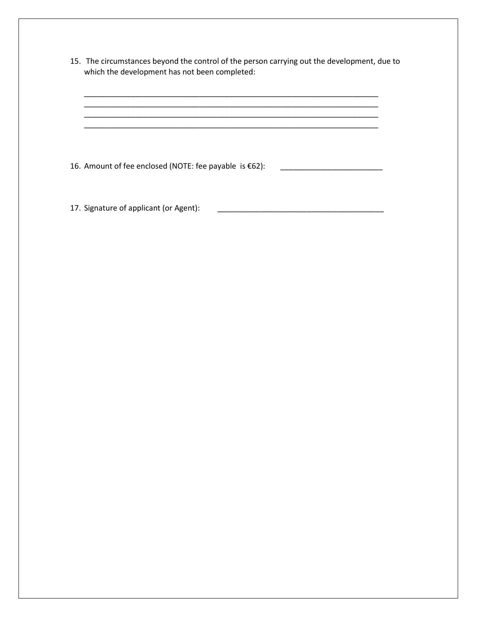15. The circumstances beyond the control of the person carrying out the development, due to which the development has not been completed:

\_\_\_\_\_\_\_\_\_\_\_\_\_\_\_\_\_\_\_\_\_\_\_\_\_\_\_\_\_\_\_\_\_\_\_\_\_\_\_\_\_\_\_\_\_\_\_\_\_\_\_\_\_\_\_\_\_\_\_\_\_\_\_\_\_\_\_\_\_

\_\_\_\_\_\_\_\_\_\_\_\_\_\_\_\_\_\_\_\_\_\_\_\_\_\_\_\_\_\_\_\_\_\_\_\_\_\_\_\_\_\_\_\_\_\_\_\_\_\_\_\_\_\_\_\_\_\_\_\_\_\_\_\_\_\_\_\_\_ \_\_\_\_\_\_\_\_\_\_\_\_\_\_\_\_\_\_\_\_\_\_\_\_\_\_\_\_\_\_\_\_\_\_\_\_\_\_\_\_\_\_\_\_\_\_\_\_\_\_\_\_\_\_\_\_\_\_\_\_\_\_\_\_\_\_\_\_\_

16. Amount of fee enclosed (NOTE: fee payable is €62): \_\_\_\_\_\_\_\_\_\_\_\_\_\_\_\_\_\_\_\_\_\_\_\_

17. Signature of applicant (or Agent): \_\_\_\_\_\_\_\_\_\_\_\_\_\_\_\_\_\_\_\_\_\_\_\_\_\_\_\_\_\_\_\_\_\_\_\_\_\_\_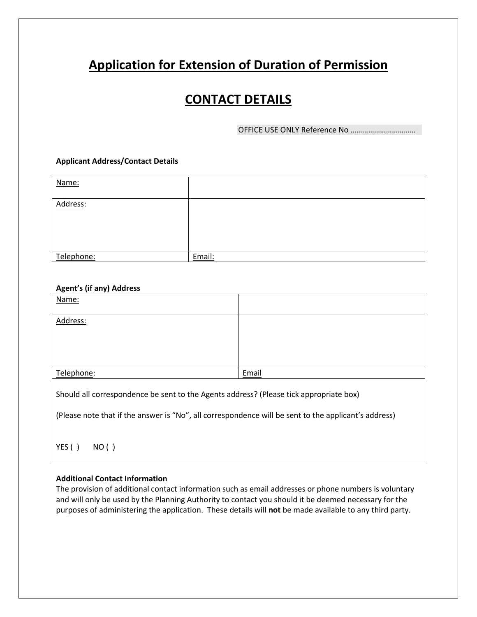# **Application for Extension of Duration of Permission**

## **CONTACT DETAILS**

OFFICE USE ONLY Reference No ……………………………

#### **Applicant Address/Contact Details**

| Name:      |        |
|------------|--------|
| Address:   |        |
| Telephone: | Email: |

#### **Agent's (if any) Address**

| Name:                                                                                                |       |  |
|------------------------------------------------------------------------------------------------------|-------|--|
| Address:                                                                                             |       |  |
|                                                                                                      |       |  |
|                                                                                                      |       |  |
| Telephone:                                                                                           | Email |  |
| Should all correspondence be sent to the Agents address? (Please tick appropriate box)               |       |  |
| (Please note that if the answer is "No", all correspondence will be sent to the applicant's address) |       |  |
|                                                                                                      |       |  |

#### **Additional Contact Information**

YES() NO()

The provision of additional contact information such as email addresses or phone numbers is voluntary and will only be used by the Planning Authority to contact you should it be deemed necessary for the purposes of administering the application. These details will **not** be made available to any third party.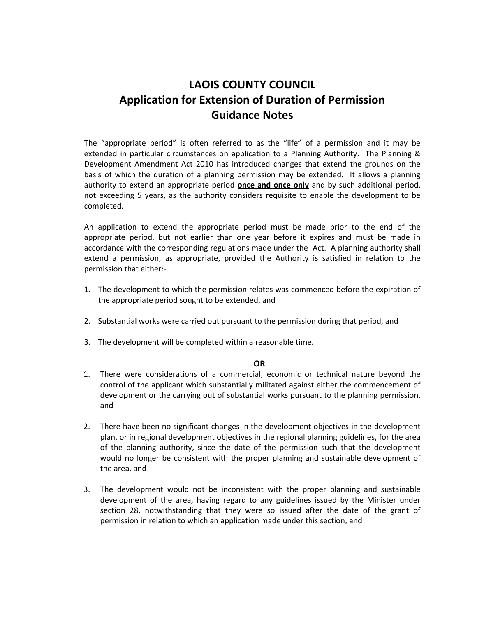## **LAOIS COUNTY COUNCIL Application for Extension of Duration of Permission Guidance Notes**

The "appropriate period" is often referred to as the "life" of a permission and it may be extended in particular circumstances on application to a Planning Authority. The Planning & Development Amendment Act 2010 has introduced changes that extend the grounds on the basis of which the duration of a planning permission may be extended. It allows a planning authority to extend an appropriate period **once and once only** and by such additional period, not exceeding 5 years, as the authority considers requisite to enable the development to be completed.

An application to extend the appropriate period must be made prior to the end of the appropriate period, but not earlier than one year before it expires and must be made in accordance with the corresponding regulations made under the Act. A planning authority shall extend a permission, as appropriate, provided the Authority is satisfied in relation to the permission that either:-

- 1. The development to which the permission relates was commenced before the expiration of the appropriate period sought to be extended, and
- 2. Substantial works were carried out pursuant to the permission during that period, and
- 3. The development will be completed within a reasonable time.

#### **OR**

- 1. There were considerations of a commercial, economic or technical nature beyond the control of the applicant which substantially militated against either the commencement of development or the carrying out of substantial works pursuant to the planning permission, and
- 2. There have been no significant changes in the development objectives in the development plan, or in regional development objectives in the regional planning guidelines, for the area of the planning authority, since the date of the permission such that the development would no longer be consistent with the proper planning and sustainable development of the area, and
- 3. The development would not be inconsistent with the proper planning and sustainable development of the area, having regard to any guidelines issued by the Minister under section 28, notwithstanding that they were so issued after the date of the grant of permission in relation to which an application made under this section, and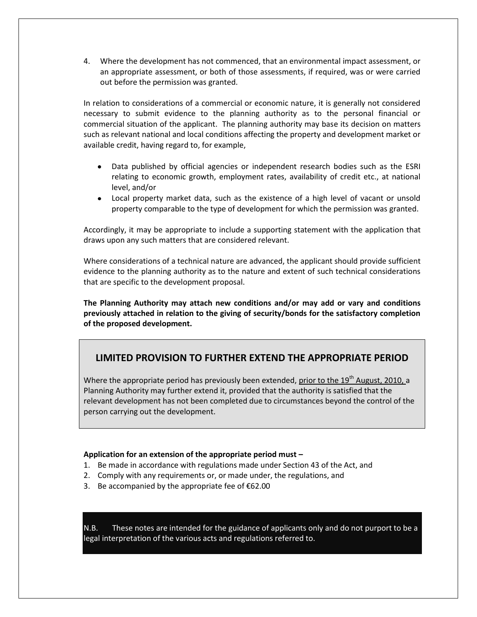4. Where the development has not commenced, that an environmental impact assessment, or an appropriate assessment, or both of those assessments, if required, was or were carried out before the permission was granted.

In relation to considerations of a commercial or economic nature, it is generally not considered necessary to submit evidence to the planning authority as to the personal financial or commercial situation of the applicant. The planning authority may base its decision on matters such as relevant national and local conditions affecting the property and development market or available credit, having regard to, for example,

- Data published by official agencies or independent research bodies such as the ESRI relating to economic growth, employment rates, availability of credit etc., at national level, and/or
- Local property market data, such as the existence of a high level of vacant or unsold property comparable to the type of development for which the permission was granted.

Accordingly, it may be appropriate to include a supporting statement with the application that draws upon any such matters that are considered relevant.

Where considerations of a technical nature are advanced, the applicant should provide sufficient evidence to the planning authority as to the nature and extent of such technical considerations that are specific to the development proposal.

**The Planning Authority may attach new conditions and/or may add or vary and conditions previously attached in relation to the giving of security/bonds for the satisfactory completion of the proposed development.**

### **LIMITED PROVISION TO FURTHER EXTEND THE APPROPRIATE PERIOD**

Where the appropriate period has previously been extended, prior to the  $19<sup>th</sup>$  August, 2010, a Planning Authority may further extend it, provided that the authority is satisfied that the relevant development has not been completed due to circumstances beyond the control of the person carrying out the development.

#### **Application for an extension of the appropriate period must –**

- 1. Be made in accordance with regulations made under Section 43 of the Act, and
- 2. Comply with any requirements or, or made under, the regulations, and
- 3. Be accompanied by the appropriate fee of  $€62.00$

N.B. These notes are intended for the guidance of applicants only and do not purport to be a legal interpretation of the various acts and regulations referred to.